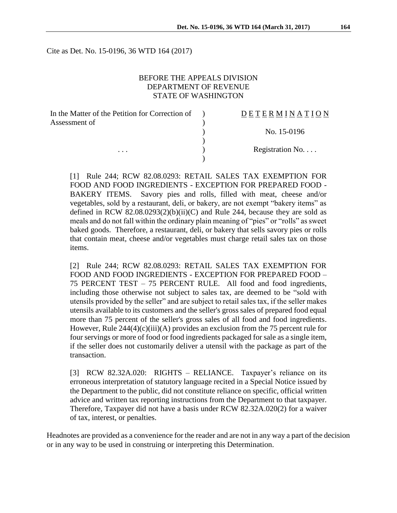Cite as Det. No. 15-0196, 36 WTD 164 (2017)

### BEFORE THE APPEALS DIVISION DEPARTMENT OF REVENUE STATE OF WASHINGTON

| In the Matter of the Petition for Correction of | DETERMINATION   |
|-------------------------------------------------|-----------------|
| Assessment of                                   |                 |
|                                                 | No. 15-0196     |
|                                                 |                 |
| $\cdots$                                        | Registration No |
|                                                 |                 |

[1] Rule 244; RCW 82.08.0293: RETAIL SALES TAX EXEMPTION FOR FOOD AND FOOD INGREDIENTS - EXCEPTION FOR PREPARED FOOD - BAKERY ITEMS. Savory pies and rolls, filled with meat, cheese and/or vegetables, sold by a restaurant, deli, or bakery, are not exempt "bakery items" as defined in RCW 82.08.0293(2)(b)(ii)(C) and Rule 244, because they are sold as meals and do not fall within the ordinary plain meaning of "pies" or "rolls" as sweet baked goods. Therefore, a restaurant, deli, or bakery that sells savory pies or rolls that contain meat, cheese and/or vegetables must charge retail sales tax on those items.

[2] Rule 244; RCW 82.08.0293: RETAIL SALES TAX EXEMPTION FOR FOOD AND FOOD INGREDIENTS - EXCEPTION FOR PREPARED FOOD – 75 PERCENT TEST – 75 PERCENT RULE. All food and food ingredients, including those otherwise not subject to sales tax, are deemed to be "sold with utensils provided by the seller" and are subject to retail sales tax, if the seller makes utensils available to its customers and the seller's gross sales of prepared food equal more than 75 percent of the seller's gross sales of all food and food ingredients. However, Rule  $244(4)(c)(iii)(A)$  provides an exclusion from the 75 percent rule for four servings or more of food or food ingredients packaged for sale as a single item, if the seller does not customarily deliver a utensil with the package as part of the transaction.

[3] RCW 82.32A.020: RIGHTS – RELIANCE. Taxpayer's reliance on its erroneous interpretation of statutory language recited in a Special Notice issued by the Department to the public, did not constitute reliance on specific, official written advice and written tax reporting instructions from the Department to that taxpayer. Therefore, Taxpayer did not have a basis under RCW 82.32A.020(2) for a waiver of tax, interest, or penalties.

Headnotes are provided as a convenience for the reader and are not in any way a part of the decision or in any way to be used in construing or interpreting this Determination.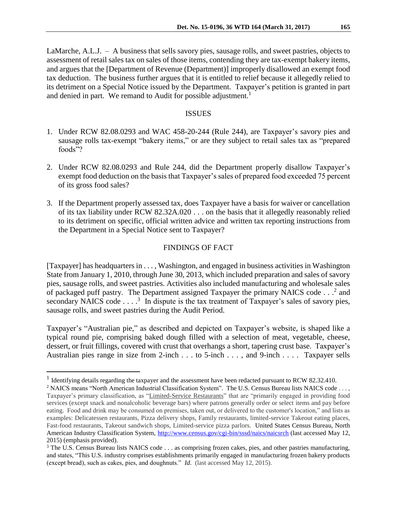LaMarche, A.L.J. – A business that sells savory pies, sausage rolls, and sweet pastries, objects to assessment of retail sales tax on sales of those items, contending they are tax-exempt bakery items, and argues that the [Department of Revenue (Department)] improperly disallowed an exempt food tax deduction. The business further argues that it is entitled to relief because it allegedly relied to its detriment on a Special Notice issued by the Department. Taxpayer's petition is granted in part and denied in part. We remand to Audit for possible adjustment.<sup>1</sup>

#### ISSUES

- 1. Under RCW 82.08.0293 and WAC 458-20-244 (Rule 244), are Taxpayer's savory pies and sausage rolls tax-exempt "bakery items," or are they subject to retail sales tax as "prepared foods"?
- 2. Under RCW 82.08.0293 and Rule 244, did the Department properly disallow Taxpayer's exempt food deduction on the basis that Taxpayer's sales of prepared food exceeded 75 percent of its gross food sales?
- 3. If the Department properly assessed tax, does Taxpayer have a basis for waiver or cancellation of its tax liability under RCW 82.32A.020 . . . on the basis that it allegedly reasonably relied to its detriment on specific, official written advice and written tax reporting instructions from the Department in a Special Notice sent to Taxpayer?

### FINDINGS OF FACT

[Taxpayer] has headquarters in . . . , Washington, and engaged in business activities in Washington State from January 1, 2010, through June 30, 2013, which included preparation and sales of savory pies, sausage rolls, and sweet pastries. Activities also included manufacturing and wholesale sales of packaged puff pastry. The Department assigned Taxpayer the primary NAICS code  $\dots$ <sup>2</sup> and secondary NAICS code  $\dots$ <sup>3</sup> In dispute is the tax treatment of Taxpayer's sales of savory pies, sausage rolls, and sweet pastries during the Audit Period.

Taxpayer's "Australian pie," as described and depicted on Taxpayer's website, is shaped like a typical round pie, comprising baked dough filled with a selection of meat, vegetable, cheese, dessert, or fruit fillings, covered with crust that overhangs a short, tapering crust base. Taxpayer's Australian pies range in size from 2-inch . . . to 5-inch . . . , and 9-inch . . . . Taxpayer sells

 $\overline{a}$ 

<sup>&</sup>lt;sup>1</sup> Identifying details regarding the taxpayer and the assessment have been redacted pursuant to RCW 82.32.410.

<sup>&</sup>lt;sup>2</sup> NAICS means "North American Industrial Classification System". The U.S. Census Bureau lists NAICS code . . . , Taxpayer's primary classification, as "Limited-Service Restaurants" that are "primarily engaged in providing food services (except snack and nonalcoholic beverage bars) where patrons generally order or select items and pay before eating. Food and drink may be consumed on premises, taken out, or delivered to the customer's location," and lists as examples: Delicatessen restaurants, Pizza delivery shops, Family restaurants, limited-service Takeout eating places, Fast-food restaurants, Takeout sandwich shops, Limited-service pizza parlors. United States Census Bureau, North American Industry Classification System,<http://www.census.gov/cgi-bin/sssd/naics/naicsrch> (last accessed May 12, 2015) (emphasis provided).

<sup>&</sup>lt;sup>3</sup> The U.S. Census Bureau lists NAICS code . . . as comprising frozen cakes, pies, and other pastries manufacturing, and states, "This U.S. industry comprises establishments primarily engaged in manufacturing frozen bakery products (except bread), such as cakes, pies, and doughnuts." *Id.* (last accessed May 12, 2015).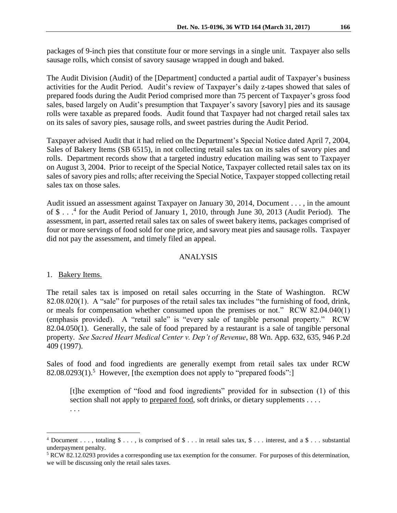packages of 9-inch pies that constitute four or more servings in a single unit. Taxpayer also sells sausage rolls, which consist of savory sausage wrapped in dough and baked.

The Audit Division (Audit) of the [Department] conducted a partial audit of Taxpayer's business activities for the Audit Period. Audit's review of Taxpayer's daily z-tapes showed that sales of prepared foods during the Audit Period comprised more than 75 percent of Taxpayer's gross food sales, based largely on Audit's presumption that Taxpayer's savory [savory] pies and its sausage rolls were taxable as prepared foods. Audit found that Taxpayer had not charged retail sales tax on its sales of savory pies, sausage rolls, and sweet pastries during the Audit Period.

Taxpayer advised Audit that it had relied on the Department's Special Notice dated April 7, 2004, Sales of Bakery Items (SB 6515), in not collecting retail sales tax on its sales of savory pies and rolls. Department records show that a targeted industry education mailing was sent to Taxpayer on August 3, 2004. Prior to receipt of the Special Notice, Taxpayer collected retail sales tax on its sales of savory pies and rolls; after receiving the Special Notice, Taxpayer stopped collecting retail sales tax on those sales.

Audit issued an assessment against Taxpayer on January 30, 2014, Document . . . , in the amount of \$ . . . 4 for the Audit Period of January 1, 2010, through June 30, 2013 (Audit Period). The assessment, in part, asserted retail sales tax on sales of sweet bakery items, packages comprised of four or more servings of food sold for one price, and savory meat pies and sausage rolls. Taxpayer did not pay the assessment, and timely filed an appeal.

# ANALYSIS

# 1. Bakery Items.

. . .

 $\overline{a}$ 

The retail sales tax is imposed on retail sales occurring in the State of Washington. RCW 82.08.020(1). A "sale" for purposes of the retail sales tax includes "the furnishing of food, drink, or meals for compensation whether consumed upon the premises or not." RCW 82.04.040(1) (emphasis provided). A "retail sale" is "every sale of tangible personal property." RCW 82.04.050(1). Generally, the sale of food prepared by a restaurant is a sale of tangible personal property. *See Sacred Heart Medical Center v. Dep't of Revenue*, 88 Wn. App. 632, 635, 946 P.2d 409 (1997).

Sales of food and food ingredients are generally exempt from retail sales tax under RCW  $82.08.0293(1)$ .<sup>5</sup> However, [the exemption does not apply to "prepared foods":]

[t]he exemption of "food and food ingredients" provided for in subsection (1) of this section shall not apply to prepared food, soft drinks, or dietary supplements . . . .

 $4$  Document . . . , totaling  $\$ \ldots$ , is comprised of  $\$ \ldots$  in retail sales tax,  $\$ \ldots$  interest, and a  $\$ \ldots$  substantial underpayment penalty.

<sup>5</sup> RCW 82.12.0293 provides a corresponding use tax exemption for the consumer. For purposes of this determination, we will be discussing only the retail sales taxes.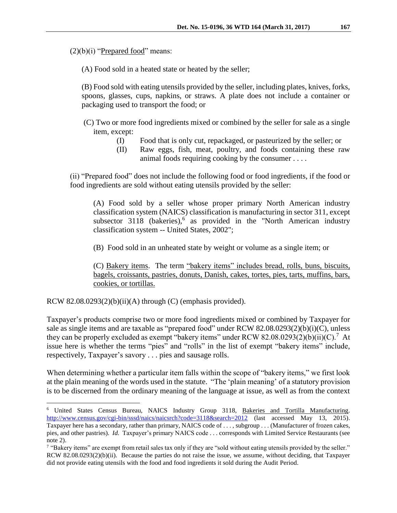$(2)(b)(i)$  "Prepared food" means:

(A) Food sold in a heated state or heated by the seller;

(B) Food sold with eating utensils provided by the seller, including plates, knives, forks, spoons, glasses, cups, napkins, or straws. A plate does not include a container or packaging used to transport the food; or

(C) Two or more food ingredients mixed or combined by the seller for sale as a single item, except:

- (I) Food that is only cut, repackaged, or pasteurized by the seller; or
- (II) Raw eggs, fish, meat, poultry, and foods containing these raw animal foods requiring cooking by the consumer . . . .

(ii) "Prepared food" does not include the following food or food ingredients, if the food or food ingredients are sold without eating utensils provided by the seller:

(A) Food sold by a seller whose proper primary North American industry classification system (NAICS) classification is manufacturing in sector 311, except subsector 3118 (bakeries),<sup>6</sup> as provided in the "North American industry classification system -- United States, 2002";

(B) Food sold in an unheated state by weight or volume as a single item; or

(C) Bakery items. The term "bakery items" includes bread, rolls, buns, biscuits, bagels, croissants, pastries, donuts, Danish, cakes, tortes, pies, tarts, muffins, bars, cookies, or tortillas.

RCW 82.08.0293(2)(b)(ii)(A) through (C) (emphasis provided).

 $\overline{a}$ 

Taxpayer's products comprise two or more food ingredients mixed or combined by Taxpayer for sale as single items and are taxable as "prepared food" under RCW 82.08.0293(2)(b)(i)(C), unless they can be properly excluded as exempt "bakery items" under RCW 82.08.0293(2)(b)(ii)(C).<sup>7</sup> At issue here is whether the terms "pies" and "rolls" in the list of exempt "bakery items" include, respectively, Taxpayer's savory . . . pies and sausage rolls.

When determining whether a particular item falls within the scope of "bakery items," we first look at the plain meaning of the words used in the statute. "The 'plain meaning' of a statutory provision is to be discerned from the ordinary meaning of the language at issue, as well as from the context

<sup>6</sup> United States Census Bureau, NAICS Industry Group 3118, Bakeries and Tortilla Manufacturing. <http://www.census.gov/cgi-bin/sssd/naics/naicsrch?code=3118&search=2012> (last accessed May 13, 2015). Taxpayer here has a secondary, rather than primary, NAICS code of . . . , subgroup . . . (Manufacturer of frozen cakes, pies, and other pastries). *Id.* Taxpayer's primary NAICS code . . . corresponds with Limited Service Restaurants (see note 2).

<sup>&</sup>lt;sup>7</sup> "Bakery items" are exempt from retail sales tax only if they are "sold without eating utensils provided by the seller." RCW 82.08.0293(2)(b)(ii). Because the parties do not raise the issue, we assume, without deciding, that Taxpayer did not provide eating utensils with the food and food ingredients it sold during the Audit Period.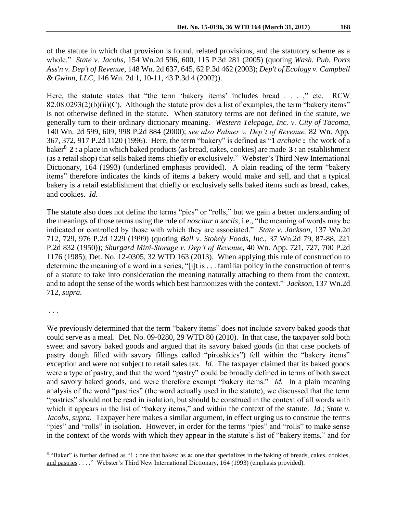of the statute in which that provision is found, related provisions, and the statutory scheme as a whole." *State v. Jacobs*, 154 Wn.2d 596, 600, 115 P.3d 281 (2005) (quoting *Wash. Pub. Ports Ass'n v. Dep't of Revenue*, 148 Wn. 2d 637, 645, 62 P.3d 462 (2003); *Dep't of Ecology v. Campbell & Gwinn, LLC*, 146 Wn. 2d 1, 10-11, 43 P.3d 4 (2002)).

Here, the statute states that "the term 'bakery items' includes bread . . . ," etc. RCW 82.08.0293(2)(b)(ii)(C). Although the statute provides a list of examples, the term "bakery items" is not otherwise defined in the statute. When statutory terms are not defined in the statute, we generally turn to their ordinary dictionary meaning. *Western Telepage, Inc. v. City of Tacoma*, 140 Wn. 2d 599, 609, 998 P.2d 884 (2000); *see also Palmer v. Dep't of Revenue,* 82 Wn. App*.*  367, 372, 917 P.2d 1120 (1996). Here, the term "bakery" is defined as "**1** *archaic* **:** the work of a baker<sup>8</sup> **2 :** a place in which baked products (as bread, cakes, cookies) are made **3 :** an establishment (as a retail shop) that sells baked items chiefly or exclusively." Webster's Third New International Dictionary, 164 (1993) (underlined emphasis provided). A plain reading of the term "bakery items" therefore indicates the kinds of items a bakery would make and sell, and that a typical bakery is a retail establishment that chiefly or exclusively sells baked items such as bread, cakes, and cookies. *Id.*

The statute also does not define the terms "pies" or "rolls," but we gain a better understanding of the meanings of those terms using the rule of *noscitur a sociis*, i.e., "the meaning of words may be indicated or controlled by those with which they are associated." *State v. Jackson*, 137 Wn.2d 712, 729, 976 P.2d 1229 (1999) (quoting *Ball v. Stokely Foods*, *Inc.,* 37 Wn.2d 79, 87-88, 221 P.2d 832 (1950)); *Shurgard Mini-Storage v. Dep't of Revenue*, 40 Wn. App. 721, 727, 700 P.2d 1176 (1985); Det. No. 12-0305, 32 WTD 163 (2013). When applying this rule of construction to determine the meaning of a word in a series, "[i]t is . . . familiar policy in the construction of terms of a statute to take into consideration the meaning naturally attaching to them from the context, and to adopt the sense of the words which best harmonizes with the context." *Jackson*, 137 Wn.2d 712, *supra*.

. . .

 $\overline{a}$ 

We previously determined that the term "bakery items" does not include savory baked goods that could serve as a meal. Det. No. 09-0280, 29 WTD 80 (2010). In that case, the taxpayer sold both sweet and savory baked goods and argued that its savory baked goods (in that case pockets of pastry dough filled with savory fillings called "piroshkies") fell within the "bakery items" exception and were not subject to retail sales tax. *Id.* The taxpayer claimed that its baked goods were a type of pastry, and that the word "pastry" could be broadly defined in terms of both sweet and savory baked goods, and were therefore exempt "bakery items." *Id.* In a plain meaning analysis of the word "pastries" (the word actually used in the statute), we discussed that the term "pastries" should not be read in isolation, but should be construed in the context of all words with which it appears in the list of "bakery items," and within the context of the statute. *Id.*; *State v. Jacobs, supra.* Taxpayer here makes a similar argument, in effect urging us to construe the terms "pies" and "rolls" in isolation. However, in order for the terms "pies" and "rolls" to make sense in the context of the words with which they appear in the statute's list of "bakery items," and for

<sup>&</sup>lt;sup>8</sup> "Baker" is further defined as "1 : one that bakes: as **a:** one that specializes in the baking of breads, cakes, cookies, and pastries . . . ." Webster's Third New International Dictionary, 164 (1993) (emphasis provided).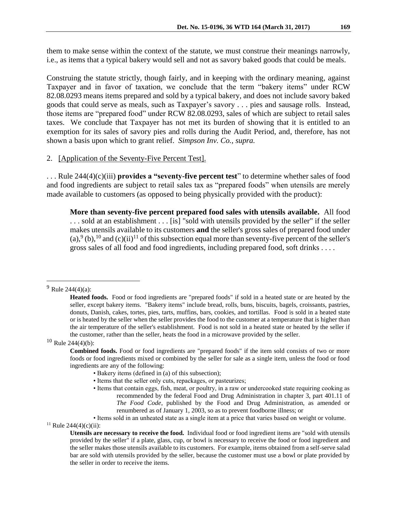them to make sense within the context of the statute, we must construe their meanings narrowly, i.e., as items that a typical bakery would sell and not as savory baked goods that could be meals.

Construing the statute strictly, though fairly, and in keeping with the ordinary meaning, against Taxpayer and in favor of taxation, we conclude that the term "bakery items" under RCW 82.08.0293 means items prepared and sold by a typical bakery, and does not include savory baked goods that could serve as meals, such as Taxpayer's savory . . . pies and sausage rolls. Instead, those items are "prepared food" under RCW 82.08.0293, sales of which are subject to retail sales taxes. We conclude that Taxpayer has not met its burden of showing that it is entitled to an exemption for its sales of savory pies and rolls during the Audit Period, and, therefore, has not shown a basis upon which to grant relief. *Simpson Inv. Co., supra.*

#### 2. [Application of the Seventy-Five Percent Test].

. . . Rule 244(4)(c)(iii) **provides a "seventy-five percent test**" to determine whether sales of food and food ingredients are subject to retail sales tax as "prepared foods" when utensils are merely made available to customers (as opposed to being physically provided with the product):

**More than seventy-five percent prepared food sales with utensils available.** All food . . . sold at an establishment . . . [is] "sold with utensils provided by the seller" if the seller makes utensils available to its customers **and** the seller's gross sales of prepared food under (a),  $(9)(b)$ ,  $(10)$  and  $(c)(ii)$ <sup>11</sup> of this subsection equal more than seventy-five percent of the seller's gross sales of all food and food ingredients, including prepared food, soft drinks . . . .

 $9$  Rule 244(4)(a):

 $\overline{a}$ 

 $10$  Rule 244(4)(b):

- Bakery items (defined in (a) of this subsection);
- Items that the seller only cuts, repackages, or pasteurizes;
- Items that contain eggs, fish, meat, or poultry, in a raw or undercooked state requiring cooking as recommended by the federal Food and Drug Administration in chapter 3, part 401.11 of *The Food Code*, published by the Food and Drug Administration, as amended or renumbered as of January 1, 2003, so as to prevent foodborne illness; or

<sup>11</sup> Rule 244(4)(c)(ii):

**Heated foods.** Food or food ingredients are "prepared foods" if sold in a heated state or are heated by the seller, except bakery items. "Bakery items" include bread, rolls, buns, biscuits, bagels, croissants, pastries, donuts, Danish, cakes, tortes, pies, tarts, muffins, bars, cookies, and tortillas. Food is sold in a heated state or is heated by the seller when the seller provides the food to the customer at a temperature that is higher than the air temperature of the seller's establishment. Food is not sold in a heated state or heated by the seller if the customer, rather than the seller, heats the food in a microwave provided by the seller.

**Combined foods.** Food or food ingredients are "prepared foods" if the item sold consists of two or more foods or food ingredients mixed or combined by the seller for sale as a single item, unless the food or food ingredients are any of the following:

<sup>•</sup> Items sold in an unheated state as a single item at a price that varies based on weight or volume.

**Utensils are necessary to receive the food.** Individual food or food ingredient items are "sold with utensils provided by the seller" if a plate, glass, cup, or bowl is necessary to receive the food or food ingredient and the seller makes those utensils available to its customers. For example, items obtained from a self-serve salad bar are sold with utensils provided by the seller, because the customer must use a bowl or plate provided by the seller in order to receive the items.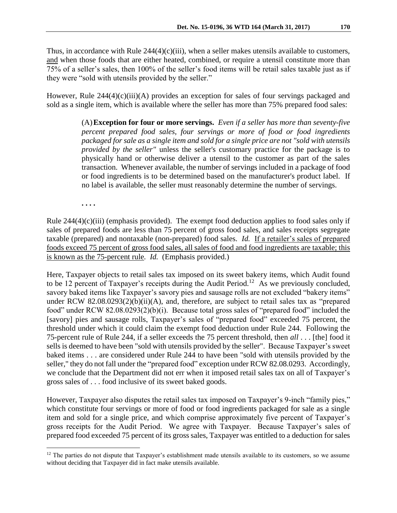Thus, in accordance with Rule  $244(4)(c)(iii)$ , when a seller makes utensils available to customers, and when those foods that are either heated, combined, or require a utensil constitute more than 75% of a seller's sales, then 100% of the seller's food items will be retail sales taxable just as if they were "sold with utensils provided by the seller."

However, Rule 244(4)(c)(iii)(A) provides an exception for sales of four servings packaged and sold as a single item, which is available where the seller has more than 75% prepared food sales:

> (A)**Exception for four or more servings.** *Even if a seller has more than seventy-five percent prepared food sales, four servings or more of food or food ingredients packaged for sale as a single item and sold for a single price are not "sold with utensils provided by the seller"* unless the seller's customary practice for the package is to physically hand or otherwise deliver a utensil to the customer as part of the sales transaction. Whenever available, the number of servings included in a package of food or food ingredients is to be determined based on the manufacturer's product label. If no label is available, the seller must reasonably determine the number of servings.

**. . . .**

 $\overline{a}$ 

Rule  $244(4)(c)(iii)$  (emphasis provided). The exempt food deduction applies to food sales only if sales of prepared foods are less than 75 percent of gross food sales, and sales receipts segregate taxable (prepared) and nontaxable (non-prepared) food sales. *Id.* If a retailer's sales of prepared foods exceed 75 percent of gross food sales, all sales of food and food ingredients are taxable; this is known as the 75-percent rule*. Id.* (Emphasis provided.)

Here, Taxpayer objects to retail sales tax imposed on its sweet bakery items, which Audit found to be 12 percent of Taxpayer's receipts during the Audit Period.<sup>12</sup> As we previously concluded, savory baked items like Taxpayer's savory pies and sausage rolls are not excluded "bakery items" under RCW 82.08.0293(2)(b)(ii)(A), and, therefore, are subject to retail sales tax as "prepared food" under RCW 82.08.0293(2)(b)(i). Because total gross sales of "prepared food" included the [savory] pies and sausage rolls, Taxpayer's sales of "prepared food" exceeded 75 percent, the threshold under which it could claim the exempt food deduction under Rule 244. Following the 75-percent rule of Rule 244, if a seller exceeds the 75 percent threshold, then *all* . . . [the] food it sells is deemed to have been "sold with utensils provided by the seller". Because Taxpayer's sweet baked items . . . are considered under Rule 244 to have been "sold with utensils provided by the seller," they do not fall under the "prepared food" exception under RCW 82.08.0293. Accordingly, we conclude that the Department did not err when it imposed retail sales tax on all of Taxpayer's gross sales of . . . food inclusive of its sweet baked goods.

However, Taxpayer also disputes the retail sales tax imposed on Taxpayer's 9-inch "family pies," which constitute four servings or more of food or food ingredients packaged for sale as a single item and sold for a single price, and which comprise approximately five percent of Taxpayer's gross receipts for the Audit Period. We agree with Taxpayer. Because Taxpayer's sales of prepared food exceeded 75 percent of its gross sales, Taxpayer was entitled to a deduction for sales

 $12$  The parties do not dispute that Taxpayer's establishment made utensils available to its customers, so we assume without deciding that Taxpayer did in fact make utensils available.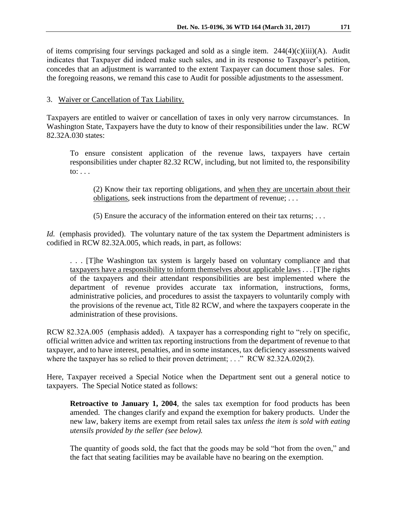of items comprising four servings packaged and sold as a single item. 244(4)(c)(iii)(A). Audit indicates that Taxpayer did indeed make such sales, and in its response to Taxpayer's petition, concedes that an adjustment is warranted to the extent Taxpayer can document those sales. For the foregoing reasons, we remand this case to Audit for possible adjustments to the assessment.

## 3. Waiver or Cancellation of Tax Liability.

Taxpayers are entitled to waiver or cancellation of taxes in only very narrow circumstances. In Washington State, Taxpayers have the duty to know of their responsibilities under the law. RCW 82.32A.030 states:

To ensure consistent application of the revenue laws, taxpayers have certain responsibilities under chapter 82.32 RCW, including, but not limited to, the responsibility to: . . .

(2) Know their tax reporting obligations, and when they are uncertain about their obligations, seek instructions from the department of revenue; . . .

(5) Ensure the accuracy of the information entered on their tax returns; . . .

*Id.* (emphasis provided). The voluntary nature of the tax system the Department administers is codified in RCW 82.32A.005, which reads, in part, as follows:

. . . [T]he Washington tax system is largely based on voluntary compliance and that taxpayers have a responsibility to inform themselves about applicable laws . . . [T]he rights of the taxpayers and their attendant responsibilities are best implemented where the department of revenue provides accurate tax information, instructions, forms, administrative policies, and procedures to assist the taxpayers to voluntarily comply with the provisions of the revenue act, Title 82 RCW, and where the taxpayers cooperate in the administration of these provisions.

RCW 82.32A.005 (emphasis added). A taxpayer has a corresponding right to "rely on specific, official written advice and written tax reporting instructions from the department of revenue to that taxpayer, and to have interest, penalties, and in some instances, tax deficiency assessments waived where the taxpayer has so relied to their proven detriment; . . ." RCW 82.32A.020(2).

Here, Taxpayer received a Special Notice when the Department sent out a general notice to taxpayers. The Special Notice stated as follows:

**Retroactive to January 1, 2004**, the sales tax exemption for food products has been amended. The changes clarify and expand the exemption for bakery products. Under the new law, bakery items are exempt from retail sales tax *unless the item is sold with eating utensils provided by the seller (see below).*

The quantity of goods sold, the fact that the goods may be sold "hot from the oven," and the fact that seating facilities may be available have no bearing on the exemption.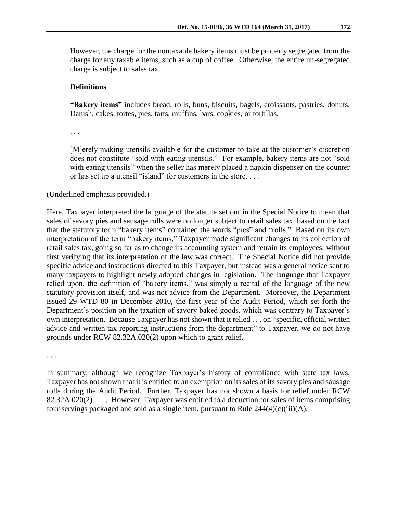However, the charge for the nontaxable bakery items must be properly segregated from the charge for any taxable items, such as a cup of coffee. Otherwise, the entire un-segregated charge is subject to sales tax.

## **Definitions**

**"Bakery items"** includes bread, rolls, buns, biscuits, bagels, croissants, pastries, donuts, Danish, cakes, tortes, pies, tarts, muffins, bars, cookies, or tortillas.

. . .

[M]erely making utensils available for the customer to take at the customer's discretion does not constitute "sold with eating utensils." For example, bakery items are not "sold with eating utensils" when the seller has merely placed a napkin dispenser on the counter or has set up a utensil "island" for customers in the store. . . .

(Underlined emphasis provided.)

Here, Taxpayer interpreted the language of the statute set out in the Special Notice to mean that sales of savory pies and sausage rolls were no longer subject to retail sales tax, based on the fact that the statutory term "bakery items" contained the words "pies" and "rolls." Based on its own interpretation of the term "bakery items," Taxpayer made significant changes to its collection of retail sales tax, going so far as to change its accounting system and retrain its employees, without first verifying that its interpretation of the law was correct. The Special Notice did not provide specific advice and instructions directed to this Taxpayer, but instead was a general notice sent to many taxpayers to highlight newly adopted changes in legislation. The language that Taxpayer relied upon, the definition of "bakery items," was simply a recital of the language of the new statutory provision itself, and was not advice from the Department. Moreover, the Department issued 29 WTD 80 in December 2010, the first year of the Audit Period, which set forth the Department's position on the taxation of savory baked goods, which was contrary to Taxpayer's own interpretation. Because Taxpayer has not shown that it relied . . . on "specific, official written advice and written tax reporting instructions from the department" to Taxpayer, we do not have grounds under RCW 82.32A.020(2) upon which to grant relief.

. . .

In summary, although we recognize Taxpayer's history of compliance with state tax laws, Taxpayer has not shown that it is entitled to an exemption on its sales of its savory pies and sausage rolls during the Audit Period. Further, Taxpayer has not shown a basis for relief under RCW 82.32A.020(2) . . . . However, Taxpayer was entitled to a deduction for sales of items comprising four servings packaged and sold as a single item, pursuant to Rule  $244(4)(c)(iii)(A)$ .